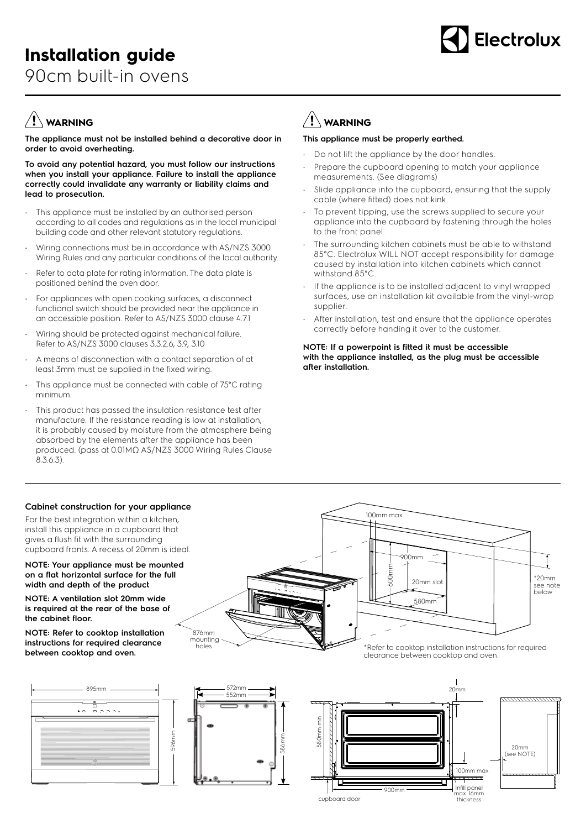

# **WARNING**

**The appliance must not be installed behind a decorative door in order to avoid overheating.**

**To avoid any potential hazard, you must follow our instructions when you install your appliance. Failure to install the appliance correctly could invalidate any warranty or liability claims and lead to prosecution.**

- This appliance must be installed by an authorised person according to all codes and regulations as in the local municipal building code and other relevant statutory regulations.
- Wiring connections must be in accordance with AS/NZS 3000 Wiring Rules and any particular conditions of the local authority.
- Refer to data plate for rating information. The data plate is positioned behind the oven door.
- For appliances with open cooking surfaces, a disconnect functional switch should be provided near the appliance in an accessible position. Refer to AS/NZS 3000 clause 4.7.1
- Wiring should be protected against mechanical failure. Refer to AS/NZS 3000 clauses 3.3.2.6, 3.9, 3.10
- A means of disconnection with a contact separation of at least 3mm must be supplied in the fixed wiring.
- This appliance must be connected with cable of 75°C rating minimum.
- This product has passed the insulation resistance test after manufacture. If the resistance reading is low at installation, it is probably caused by moisture from the atmosphere being absorbed by the elements after the appliance has been produced. (pass at 0.01MΩ AS/NZS 3000 Wiring Rules Clause 8.3.6.3).

## $\left/ \right] \left/ \right.$  WARNING

### **This appliance must be properly earthed.**

- Do not lift the appliance by the door handles
- Prepare the cupboard opening to match your appliance measurements. (See diagrams)
- Slide appliance into the cupboard, ensuring that the supply cable (where fitted) does not kink.
- To prevent tipping, use the screws supplied to secure your appliance into the cupboard by fastening through the holes to the front panel.
- The surrounding kitchen cabinets must be able to withstand 85°C. Electrolux WILL NOT accept responsibility for damage caused by installation into kitchen cabinets which cannot withstand 85°C.
- If the appliance is to be installed adjacent to vinyl wrapped surfaces, use an installation kit available from the vinyl-wrap supplier.
- After installation, test and ensure that the appliance operates correctly before handing it over to the customer.

#### **NOTE: If a powerpoint is fitted it must be accessible with the appliance installed, as the plug must be accessible after installation.**

900mm

580mm

20mm slot

600mm

100mm max

## **Cabinet construction for your appliance**

For the best integration within a kitchen, install this appliance in a cupboard that gives a flush fit with the surrounding cupboard fronts. A recess of 20mm is ideal.

#### **NOTE: Your appliance must be mounted on a flat horizontal surface for the full width and depth of the product**

**NOTE: A ventilation slot 20mm wide is required at the rear of the base of the cabinet floor.**

**NOTE: Refer to cooktop installation instructions for required clearance between cooktop and oven.**





holes



876mm mounting

\*Refer to cooktop installation instructions for required clearance between cooktop and oven.

\*20mm see note below